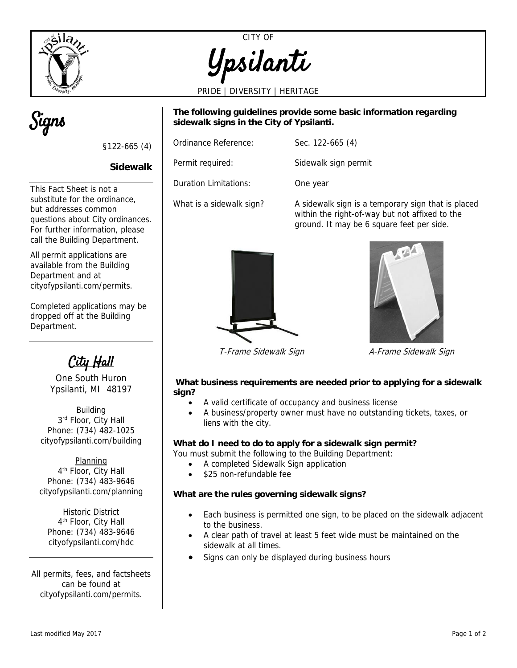



PRIDE | DIVERSITY | HERITAGE



**The following guidelines provide some basic information regarding sidewalk signs in the City of Ypsilanti.** 

| Ordinance Reference:  | Sec. $122-665(4)$ |
|-----------------------|-------------------|
| Permit required:      | Sidewalk sign per |
| Duration Limitations: | Ang yaar          |

This Fact Sheet is not a substitute for the ordinance, but addresses common questions about City ordinances. For further information, please call the Building Department.

§122-665 (4)

**Sidewalk** 

All permit applications are available from the Building Department and at cityofypsilanti.com/permits.

Completed applications may be dropped off at the Building Department.

City Hall

One South Huron Ypsilanti, MI 48197

Building 3rd Floor, City Hall Phone: (734) 482-1025 cityofypsilanti.com/building

Planning 4<sup>th</sup> Floor, City Hall Phone: (734) 483-9646 cityofypsilanti.com/planning

Historic District 4th Floor, City Hall Phone: (734) 483-9646 cityofypsilanti.com/hdc

All permits, fees, and factsheets can be found at cityofypsilanti.com/permits.

Ordinance Reference: Sec. 122-665 (4) Permit required: Sidewalk sign permit

Duration Limitations: One year

What is a sidewalk sign? A sidewalk sign is a temporary sign that is placed within the right-of-way but not affixed to the ground. It may be 6 square feet per side.





T-Frame Sidewalk Sign Machine A-Frame Sidewalk Sign

### **What business requirements are needed prior to applying for a sidewalk sign?**

- A valid certificate of occupancy and business license
- A business/property owner must have no outstanding tickets, taxes, or liens with the city.

# **What do I need to do to apply for a sidewalk sign permit?**

You must submit the following to the Building Department:

- A completed Sidewalk Sign application
- \$25 non-refundable fee

## **What are the rules governing sidewalk signs?**

- Each business is permitted one sign, to be placed on the sidewalk adjacent to the business.
- A clear path of travel at least 5 feet wide must be maintained on the sidewalk at all times.
- Signs can only be displayed during business hours